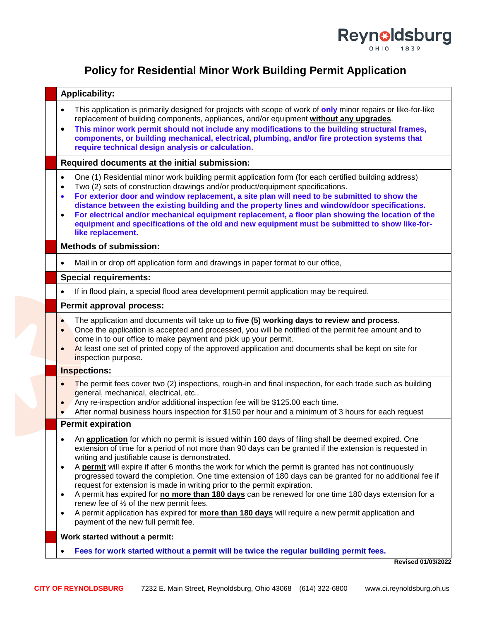

## **Policy for Residential Minor Work Building Permit Application**

| <b>Applicability:</b>                                                                                                                                                                                                                                                                                                                                                                                                                                                                                                                                                                                                                                                                                                                                                                                                                                           |  |  |  |  |  |  |
|-----------------------------------------------------------------------------------------------------------------------------------------------------------------------------------------------------------------------------------------------------------------------------------------------------------------------------------------------------------------------------------------------------------------------------------------------------------------------------------------------------------------------------------------------------------------------------------------------------------------------------------------------------------------------------------------------------------------------------------------------------------------------------------------------------------------------------------------------------------------|--|--|--|--|--|--|
| This application is primarily designed for projects with scope of work of only minor repairs or like-for-like<br>replacement of building components, appliances, and/or equipment without any upgrades.<br>This minor work permit should not include any modifications to the building structural frames,<br>$\bullet$<br>components, or building mechanical, electrical, plumbing, and/or fire protection systems that<br>require technical design analysis or calculation.                                                                                                                                                                                                                                                                                                                                                                                    |  |  |  |  |  |  |
| Required documents at the initial submission:                                                                                                                                                                                                                                                                                                                                                                                                                                                                                                                                                                                                                                                                                                                                                                                                                   |  |  |  |  |  |  |
| One (1) Residential minor work building permit application form (for each certified building address)<br>$\bullet$<br>Two (2) sets of construction drawings and/or product/equipment specifications.<br>$\bullet$<br>For exterior door and window replacement, a site plan will need to be submitted to show the<br>$\bullet$<br>distance between the existing building and the property lines and window/door specifications.<br>For electrical and/or mechanical equipment replacement, a floor plan showing the location of the<br>$\bullet$<br>equipment and specifications of the old and new equipment must be submitted to show like-for-<br>like replacement.                                                                                                                                                                                           |  |  |  |  |  |  |
| <b>Methods of submission:</b>                                                                                                                                                                                                                                                                                                                                                                                                                                                                                                                                                                                                                                                                                                                                                                                                                                   |  |  |  |  |  |  |
| Mail in or drop off application form and drawings in paper format to our office,                                                                                                                                                                                                                                                                                                                                                                                                                                                                                                                                                                                                                                                                                                                                                                                |  |  |  |  |  |  |
| <b>Special requirements:</b>                                                                                                                                                                                                                                                                                                                                                                                                                                                                                                                                                                                                                                                                                                                                                                                                                                    |  |  |  |  |  |  |
| If in flood plain, a special flood area development permit application may be required.                                                                                                                                                                                                                                                                                                                                                                                                                                                                                                                                                                                                                                                                                                                                                                         |  |  |  |  |  |  |
| Permit approval process:                                                                                                                                                                                                                                                                                                                                                                                                                                                                                                                                                                                                                                                                                                                                                                                                                                        |  |  |  |  |  |  |
| The application and documents will take up to five (5) working days to review and process.<br>$\bullet$<br>Once the application is accepted and processed, you will be notified of the permit fee amount and to<br>come in to our office to make payment and pick up your permit.<br>At least one set of printed copy of the approved application and documents shall be kept on site for<br>inspection purpose.                                                                                                                                                                                                                                                                                                                                                                                                                                                |  |  |  |  |  |  |
| <b>Inspections:</b>                                                                                                                                                                                                                                                                                                                                                                                                                                                                                                                                                                                                                                                                                                                                                                                                                                             |  |  |  |  |  |  |
| The permit fees cover two (2) inspections, rough-in and final inspection, for each trade such as building<br>general, mechanical, electrical, etc<br>Any re-inspection and/or additional inspection fee will be \$125.00 each time.<br>$\bullet$<br>After normal business hours inspection for \$150 per hour and a minimum of 3 hours for each request                                                                                                                                                                                                                                                                                                                                                                                                                                                                                                         |  |  |  |  |  |  |
| <b>Permit expiration</b>                                                                                                                                                                                                                                                                                                                                                                                                                                                                                                                                                                                                                                                                                                                                                                                                                                        |  |  |  |  |  |  |
| An application for which no permit is issued within 180 days of filing shall be deemed expired. One<br>extension of time for a period of not more than 90 days can be granted if the extension is requested in<br>writing and justifiable cause is demonstrated.<br>A permit will expire if after 6 months the work for which the permit is granted has not continuously<br>progressed toward the completion. One time extension of 180 days can be granted for no additional fee if<br>request for extension is made in writing prior to the permit expiration.<br>A permit has expired for no more than 180 days can be renewed for one time 180 days extension for a<br>renew fee of 1/2 of the new permit fees.<br>A permit application has expired for more than 180 days will require a new permit application and<br>payment of the new full permit fee. |  |  |  |  |  |  |
| Work started without a permit:                                                                                                                                                                                                                                                                                                                                                                                                                                                                                                                                                                                                                                                                                                                                                                                                                                  |  |  |  |  |  |  |
|                                                                                                                                                                                                                                                                                                                                                                                                                                                                                                                                                                                                                                                                                                                                                                                                                                                                 |  |  |  |  |  |  |

**Revised 01/03/2022**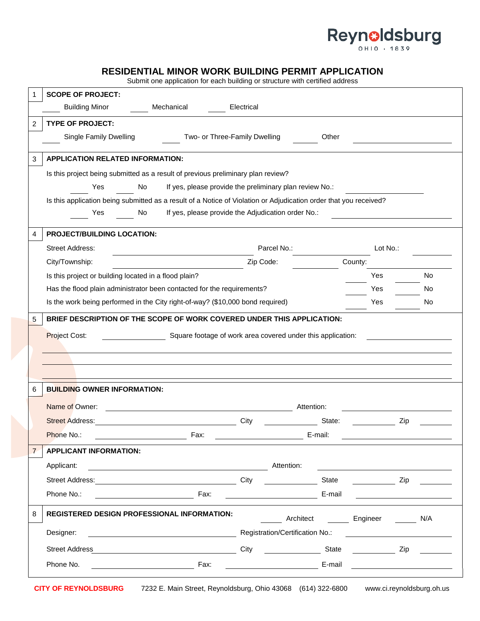# Reynoldsburg

## **RESIDENTIAL MINOR WORK BUILDING PERMIT APPLICATION**

Submit one application for each building or structure with certified address

| 1              | <b>SCOPE OF PROJECT:</b>                                                                                                            |                                 |           |                 |  |  |  |  |  |  |  |
|----------------|-------------------------------------------------------------------------------------------------------------------------------------|---------------------------------|-----------|-----------------|--|--|--|--|--|--|--|
|                | <b>Building Minor</b><br>Mechanical                                                                                                 | Electrical                      |           |                 |  |  |  |  |  |  |  |
| 2              | <b>TYPE OF PROJECT:</b>                                                                                                             |                                 |           |                 |  |  |  |  |  |  |  |
|                | Single Family Dwelling<br>Two- or Three-Family Dwelling                                                                             |                                 | Other     |                 |  |  |  |  |  |  |  |
| 3              | <b>APPLICATION RELATED INFORMATION:</b>                                                                                             |                                 |           |                 |  |  |  |  |  |  |  |
|                | Is this project being submitted as a result of previous preliminary plan review?                                                    |                                 |           |                 |  |  |  |  |  |  |  |
|                | If yes, please provide the preliminary plan review No.:<br>Yes<br>No                                                                |                                 |           |                 |  |  |  |  |  |  |  |
|                | Is this application being submitted as a result of a Notice of Violation or Adjudication order that you received?                   |                                 |           |                 |  |  |  |  |  |  |  |
|                | If yes, please provide the Adjudication order No.:<br>Yes<br>No                                                                     |                                 |           |                 |  |  |  |  |  |  |  |
|                | <b>PROJECT/BUILDING LOCATION:</b>                                                                                                   |                                 |           |                 |  |  |  |  |  |  |  |
|                | <b>Street Address:</b>                                                                                                              | Parcel No.:                     |           | Lot No.:        |  |  |  |  |  |  |  |
|                | City/Township:                                                                                                                      | Zip Code:                       | County:   |                 |  |  |  |  |  |  |  |
|                | Is this project or building located in a flood plain?                                                                               |                                 |           | Yes<br>No       |  |  |  |  |  |  |  |
|                | Has the flood plain administrator been contacted for the requirements?                                                              |                                 |           | Yes<br>No.      |  |  |  |  |  |  |  |
|                | Is the work being performed in the City right-of-way? (\$10,000 bond required)                                                      |                                 |           | Yes<br>No.      |  |  |  |  |  |  |  |
|                | Project Cost:<br>Square footage of work area covered under this application:                                                        |                                 |           |                 |  |  |  |  |  |  |  |
| 6              | <b>BUILDING OWNER INFORMATION:</b>                                                                                                  |                                 |           |                 |  |  |  |  |  |  |  |
|                | Name of Owner:<br>Attention:                                                                                                        |                                 |           |                 |  |  |  |  |  |  |  |
|                | <b>Street Address:</b>                                                                                                              | City                            | State:    | Zip             |  |  |  |  |  |  |  |
|                | Phone No.:<br>Fax:                                                                                                                  |                                 | E-mail:   |                 |  |  |  |  |  |  |  |
| $\overline{7}$ | <b>APPLICANT INFORMATION:</b>                                                                                                       |                                 |           |                 |  |  |  |  |  |  |  |
|                | Applicant:<br><u> 1980 - Johann Barbara, martin da basar a shekara 1980 - An tsara 1980 - An tsara 1980 - An tsara 1980 - An ts</u> | Attention:                      |           |                 |  |  |  |  |  |  |  |
|                |                                                                                                                                     | City                            | State     | Zip             |  |  |  |  |  |  |  |
|                | Phone No.:<br>Fax:                                                                                                                  |                                 | E-mail    |                 |  |  |  |  |  |  |  |
|                |                                                                                                                                     |                                 |           |                 |  |  |  |  |  |  |  |
| 8              | REGISTERED DESIGN PROFESSIONAL INFORMATION:                                                                                         |                                 | Architect | Engineer<br>N/A |  |  |  |  |  |  |  |
|                | Designer:                                                                                                                           | Registration/Certification No.: |           |                 |  |  |  |  |  |  |  |
|                | <b>Street Address</b><br><u> 1989 - Johann Barn, fransk politik (</u>                                                               | City State                      |           | Zip             |  |  |  |  |  |  |  |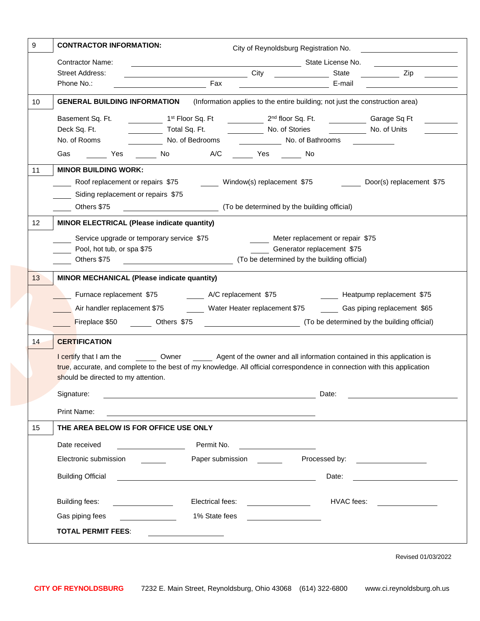| <b>CONTRACTOR INFORMATION:</b><br>9<br>City of Reynoldsburg Registration No.                                              |                                                                                                                                                    |                                                                                                                       |                                        |                                  |              |                                                                                                                      |  |  |  |  |
|---------------------------------------------------------------------------------------------------------------------------|----------------------------------------------------------------------------------------------------------------------------------------------------|-----------------------------------------------------------------------------------------------------------------------|----------------------------------------|----------------------------------|--------------|----------------------------------------------------------------------------------------------------------------------|--|--|--|--|
| <b>Contractor Name:</b><br>State License No.                                                                              |                                                                                                                                                    |                                                                                                                       |                                        |                                  |              |                                                                                                                      |  |  |  |  |
|                                                                                                                           | <b>Street Address:</b>                                                                                                                             | <b>Example 2018</b> City City                                                                                         |                                        |                                  | State        | <b>Example</b> Zip                                                                                                   |  |  |  |  |
|                                                                                                                           | Phone No.:                                                                                                                                         | Fax                                                                                                                   |                                        |                                  | E-mail       |                                                                                                                      |  |  |  |  |
| (Information applies to the entire building; not just the construction area)<br><b>GENERAL BUILDING INFORMATION</b><br>10 |                                                                                                                                                    |                                                                                                                       |                                        |                                  |              |                                                                                                                      |  |  |  |  |
|                                                                                                                           | Basement Sq. Ft.                                                                                                                                   | 1 <sup>st</sup> Floor Sq. Ft                                                                                          | 2 <sup>nd</sup> floor Sq. Ft.          |                                  |              | Garage Sq Ft                                                                                                         |  |  |  |  |
|                                                                                                                           | Deck Sq. Ft.                                                                                                                                       | Total Sq. Ft.                                                                                                         | No. of Stories                         |                                  | No. of Units |                                                                                                                      |  |  |  |  |
|                                                                                                                           | No. of Rooms                                                                                                                                       | No. of Bedrooms                                                                                                       |                                        | No. of Bathrooms                 |              |                                                                                                                      |  |  |  |  |
|                                                                                                                           | Yes No<br>Gas                                                                                                                                      | A/C                                                                                                                   | <b>Sand Stringer Stringer Stringer</b> |                                  |              |                                                                                                                      |  |  |  |  |
| 11                                                                                                                        | <b>MINOR BUILDING WORK:</b>                                                                                                                        |                                                                                                                       |                                        |                                  |              |                                                                                                                      |  |  |  |  |
|                                                                                                                           | Roof replacement or repairs \$75<br>Door(s) replacement \$75<br>Window(s) replacement \$75                                                         |                                                                                                                       |                                        |                                  |              |                                                                                                                      |  |  |  |  |
|                                                                                                                           | Siding replacement or repairs \$75                                                                                                                 |                                                                                                                       |                                        |                                  |              |                                                                                                                      |  |  |  |  |
|                                                                                                                           | (To be determined by the building official)<br>Others \$75                                                                                         |                                                                                                                       |                                        |                                  |              |                                                                                                                      |  |  |  |  |
| 12                                                                                                                        | MINOR ELECTRICAL (Please indicate quantity)                                                                                                        |                                                                                                                       |                                        |                                  |              |                                                                                                                      |  |  |  |  |
|                                                                                                                           | Service upgrade or temporary service \$75                                                                                                          |                                                                                                                       |                                        | Meter replacement or repair \$75 |              |                                                                                                                      |  |  |  |  |
|                                                                                                                           | Pool, hot tub, or spa \$75                                                                                                                         |                                                                                                                       |                                        | Generator replacement \$75       |              |                                                                                                                      |  |  |  |  |
|                                                                                                                           | (To be determined by the building official)<br>Others \$75                                                                                         |                                                                                                                       |                                        |                                  |              |                                                                                                                      |  |  |  |  |
| 13                                                                                                                        | MINOR MECHANICAL (Please indicate quantity)                                                                                                        |                                                                                                                       |                                        |                                  |              |                                                                                                                      |  |  |  |  |
| Furnace replacement \$75<br>A/C replacement \$75<br>Heatpump replacement \$75                                             |                                                                                                                                                    |                                                                                                                       |                                        |                                  |              |                                                                                                                      |  |  |  |  |
|                                                                                                                           | Air handler replacement \$75 _________ Water Heater replacement \$75<br>Gas piping replacement \$65<br>(To be determined by the building official) |                                                                                                                       |                                        |                                  |              |                                                                                                                      |  |  |  |  |
|                                                                                                                           |                                                                                                                                                    |                                                                                                                       |                                        |                                  |              |                                                                                                                      |  |  |  |  |
|                                                                                                                           | Fireplace \$50 Others \$75                                                                                                                         |                                                                                                                       |                                        |                                  |              |                                                                                                                      |  |  |  |  |
| 14                                                                                                                        | <b>CERTIFICATION</b>                                                                                                                               |                                                                                                                       |                                        |                                  |              |                                                                                                                      |  |  |  |  |
|                                                                                                                           | I certify that I am the                                                                                                                            | Owner Sales Agent of the owner and all information contained in this application is                                   |                                        |                                  |              |                                                                                                                      |  |  |  |  |
|                                                                                                                           | true, accurate, and complete to the best of my knowledge. All official correspondence in connection with this application                          |                                                                                                                       |                                        |                                  |              |                                                                                                                      |  |  |  |  |
| should be directed to my attention.                                                                                       |                                                                                                                                                    |                                                                                                                       |                                        |                                  |              |                                                                                                                      |  |  |  |  |
|                                                                                                                           | Signature:                                                                                                                                         |                                                                                                                       |                                        |                                  | Date:        |                                                                                                                      |  |  |  |  |
|                                                                                                                           | Print Name:                                                                                                                                        |                                                                                                                       |                                        |                                  |              |                                                                                                                      |  |  |  |  |
| 15                                                                                                                        | THE AREA BELOW IS FOR OFFICE USE ONLY                                                                                                              |                                                                                                                       |                                        |                                  |              |                                                                                                                      |  |  |  |  |
| Permit No.<br>Date received                                                                                               |                                                                                                                                                    |                                                                                                                       |                                        |                                  |              |                                                                                                                      |  |  |  |  |
|                                                                                                                           | Electronic submission                                                                                                                              | Paper submission                                                                                                      |                                        | Processed by:                    |              | <u> 1989 - Jan Stein Stein Stein Stein Stein Stein Stein Stein Stein Stein Stein Stein Stein Stein Stein Stein S</u> |  |  |  |  |
|                                                                                                                           |                                                                                                                                                    |                                                                                                                       |                                        |                                  |              |                                                                                                                      |  |  |  |  |
|                                                                                                                           | <b>Building Official</b>                                                                                                                           | <u> 1989 - Johann Stoff, deutscher Stoffen und der Stoffen und der Stoffen und der Stoffen und der Stoffen und de</u> |                                        |                                  | Date:        |                                                                                                                      |  |  |  |  |
|                                                                                                                           | Building fees:                                                                                                                                     | Electrical fees:                                                                                                      |                                        |                                  | HVAC fees:   |                                                                                                                      |  |  |  |  |
|                                                                                                                           | Gas piping fees                                                                                                                                    | 1% State fees                                                                                                         |                                        |                                  |              |                                                                                                                      |  |  |  |  |
|                                                                                                                           | <b>TOTAL PERMIT FEES:</b>                                                                                                                          |                                                                                                                       |                                        |                                  |              |                                                                                                                      |  |  |  |  |
|                                                                                                                           |                                                                                                                                                    |                                                                                                                       |                                        |                                  |              |                                                                                                                      |  |  |  |  |

Revised 01/03/2022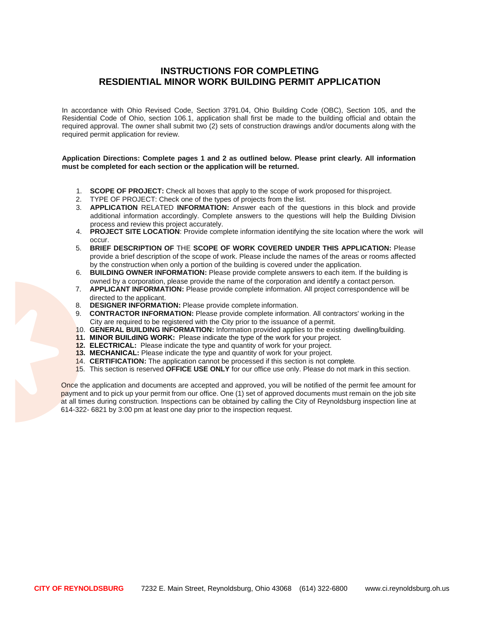## **INSTRUCTIONS FOR COMPLETING RESDIENTIAL MINOR WORK BUILDING PERMIT APPLICATION**

In accordance with Ohio Revised Code, Section 3791.04, Ohio Building Code (OBC), Section 105, and the Residential Code of Ohio, section 106.1, application shall first be made to the building official and obtain the required approval. The owner shall submit two (2) sets of construction drawings and/or documents along with the required permit application for review.

#### **Application Directions: Complete pages 1 and 2 as outlined below. Please print clearly. All information must be completed for each section or the application will be returned.**

- 1. **SCOPE OF PROJECT:** Check all boxes that apply to the scope of work proposed for thisproject.
- 2. TYPE OF PROJECT: Check one of the types of projects from the list.
- 3. **APPLICATION** RELATED **INFORMATION:** Answer each of the questions in this block and provide additional information accordingly. Complete answers to the questions will help the Building Division process and review this project accurately.
- 4. **PROJECT SITE LOCATION**: Provide complete information identifying the site location where the work will occur.
- 5. **BRIEF DESCRIPTION OF** THE **SCOPE OF WORK COVERED UNDER THIS APPLICATION:** Please provide a brief description of the scope of work. Please include the names of the areas or rooms affected by the construction when only a portion of the building is covered under the application.
- 6. **BUILDING OWNER INFORMATION:** Please provide complete answers to each item. If the building is owned by a corporation, please provide the name of the corporation and identify a contact person.
- 7. **APPLICANT INFORMATION:** Please provide complete information. All project correspondence will be directed to the applicant.
- 8. **DESIGNER INFORMATION:** Please provide complete information.
- 9. **CONTRACTOR INFORMATION:** Please provide complete information. All contractors' working in the City are required to be registered with the City prior to the issuance of a permit.
- 10. **GENERAL BUILDING INFORMATION:** Information provided applies to the existing dwelling/building.
- **11. MINOR BUILdING WORK:** Please indicate the type of the work for your project.
- **12. ELECTRICAL:** Please indicate the type and quantity of work for your project.
- **13. MECHANICAL:** Please indicate the type and quantity of work for your project.
- 14. **CERTIFICATION:** The application cannot be processed if this section is not complete.
- 15. This section is reserved **OFFICE USE ONLY** for our office use only. Please do not mark in this section.

Once the application and documents are accepted and approved, you will be notified of the permit fee amount for payment and to pick up your permit from our office. One (1) set of approved documents must remain on the job site at all times during construction. Inspections can be obtained by calling the City of Reynoldsburg inspection line at 614-322- 6821 by 3:00 pm at least one day prior to the inspection request.